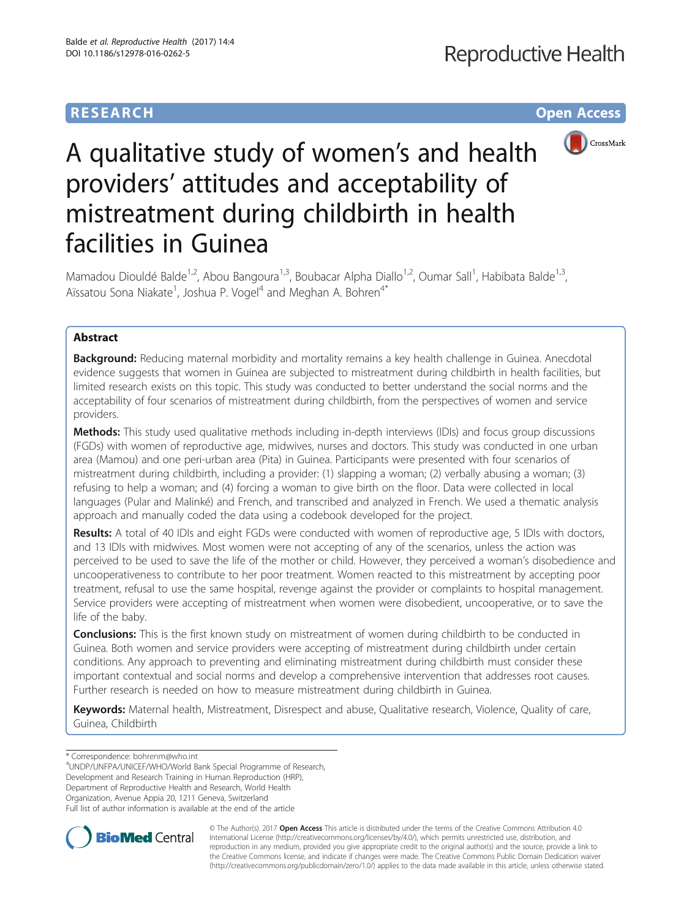# **RESEARCH CHE Open Access**



# A qualitative study of women's and health providers' attitudes and acceptability of mistreatment during childbirth in health facilities in Guinea

Mamadou Diouldé Balde<sup>1,2</sup>, Abou Bangoura<sup>1,3</sup>, Boubacar Alpha Diallo<sup>1,2</sup>, Oumar Sall<sup>1</sup>, Habibata Balde<sup>1,3</sup>, Aïssatou Sona Niakate<sup>1</sup>, Joshua P. Vogel<sup>4</sup> and Meghan A. Bohren<sup>4\*</sup>

# Abstract

**Background:** Reducing maternal morbidity and mortality remains a key health challenge in Guinea. Anecdotal evidence suggests that women in Guinea are subjected to mistreatment during childbirth in health facilities, but limited research exists on this topic. This study was conducted to better understand the social norms and the acceptability of four scenarios of mistreatment during childbirth, from the perspectives of women and service providers.

Methods: This study used qualitative methods including in-depth interviews (IDIs) and focus group discussions (FGDs) with women of reproductive age, midwives, nurses and doctors. This study was conducted in one urban area (Mamou) and one peri-urban area (Pita) in Guinea. Participants were presented with four scenarios of mistreatment during childbirth, including a provider: (1) slapping a woman; (2) verbally abusing a woman; (3) refusing to help a woman; and (4) forcing a woman to give birth on the floor. Data were collected in local languages (Pular and Malinké) and French, and transcribed and analyzed in French. We used a thematic analysis approach and manually coded the data using a codebook developed for the project.

Results: A total of 40 IDIs and eight FGDs were conducted with women of reproductive age, 5 IDIs with doctors, and 13 IDIs with midwives. Most women were not accepting of any of the scenarios, unless the action was perceived to be used to save the life of the mother or child. However, they perceived a woman's disobedience and uncooperativeness to contribute to her poor treatment. Women reacted to this mistreatment by accepting poor treatment, refusal to use the same hospital, revenge against the provider or complaints to hospital management. Service providers were accepting of mistreatment when women were disobedient, uncooperative, or to save the life of the baby.

**Conclusions:** This is the first known study on mistreatment of women during childbirth to be conducted in Guinea. Both women and service providers were accepting of mistreatment during childbirth under certain conditions. Any approach to preventing and eliminating mistreatment during childbirth must consider these important contextual and social norms and develop a comprehensive intervention that addresses root causes. Further research is needed on how to measure mistreatment during childbirth in Guinea.

Keywords: Maternal health, Mistreatment, Disrespect and abuse, Qualitative research, Violence, Quality of care, Guinea, Childbirth

Development and Research Training in Human Reproduction (HRP),

Department of Reproductive Health and Research, World Health



© The Author(s). 2017 **Open Access** This article is distributed under the terms of the Creative Commons Attribution 4.0 International License [\(http://creativecommons.org/licenses/by/4.0/](http://creativecommons.org/licenses/by/4.0/)), which permits unrestricted use, distribution, and reproduction in any medium, provided you give appropriate credit to the original author(s) and the source, provide a link to the Creative Commons license, and indicate if changes were made. The Creative Commons Public Domain Dedication waiver [\(http://creativecommons.org/publicdomain/zero/1.0/](http://creativecommons.org/publicdomain/zero/1.0/)) applies to the data made available in this article, unless otherwise stated.

<sup>\*</sup> Correspondence: [bohrenm@who.int](mailto:bohrenm@who.int) <sup>4</sup>

UNDP/UNFPA/UNICEF/WHO/World Bank Special Programme of Research,

Organization, Avenue Appia 20, 1211 Geneva, Switzerland Full list of author information is available at the end of the article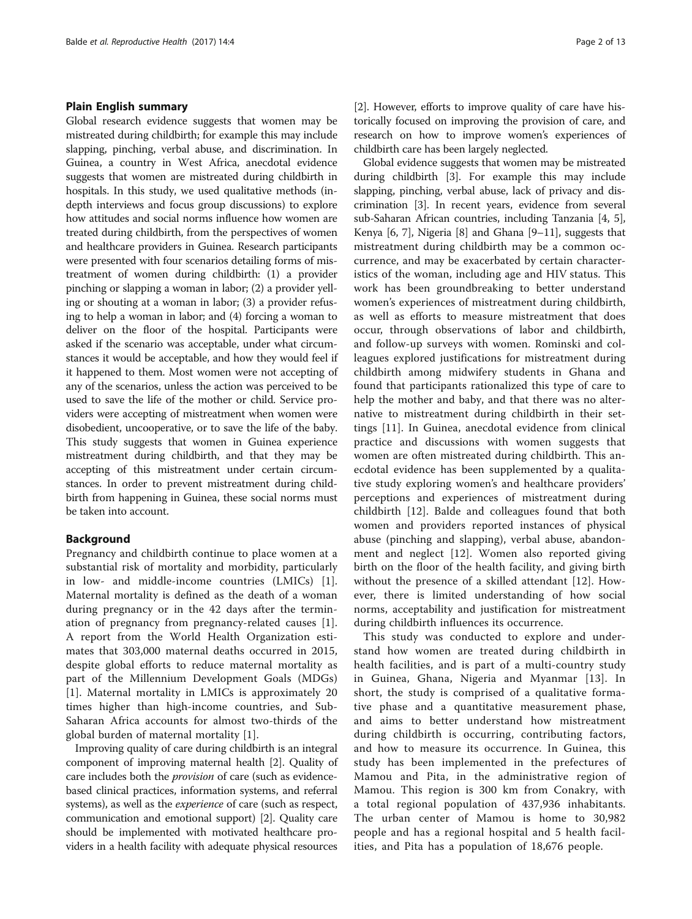## Plain English summary

Global research evidence suggests that women may be mistreated during childbirth; for example this may include slapping, pinching, verbal abuse, and discrimination. In Guinea, a country in West Africa, anecdotal evidence suggests that women are mistreated during childbirth in hospitals. In this study, we used qualitative methods (indepth interviews and focus group discussions) to explore how attitudes and social norms influence how women are treated during childbirth, from the perspectives of women and healthcare providers in Guinea. Research participants were presented with four scenarios detailing forms of mistreatment of women during childbirth: (1) a provider pinching or slapping a woman in labor; (2) a provider yelling or shouting at a woman in labor; (3) a provider refusing to help a woman in labor; and (4) forcing a woman to deliver on the floor of the hospital. Participants were asked if the scenario was acceptable, under what circumstances it would be acceptable, and how they would feel if it happened to them. Most women were not accepting of any of the scenarios, unless the action was perceived to be used to save the life of the mother or child. Service providers were accepting of mistreatment when women were disobedient, uncooperative, or to save the life of the baby. This study suggests that women in Guinea experience mistreatment during childbirth, and that they may be accepting of this mistreatment under certain circumstances. In order to prevent mistreatment during childbirth from happening in Guinea, these social norms must be taken into account.

# Background

Pregnancy and childbirth continue to place women at a substantial risk of mortality and morbidity, particularly in low- and middle-income countries (LMICs) [\[1](#page-11-0)]. Maternal mortality is defined as the death of a woman during pregnancy or in the 42 days after the termination of pregnancy from pregnancy-related causes [\[1](#page-11-0)]. A report from the World Health Organization estimates that 303,000 maternal deaths occurred in 2015, despite global efforts to reduce maternal mortality as part of the Millennium Development Goals (MDGs) [[1\]](#page-11-0). Maternal mortality in LMICs is approximately 20 times higher than high-income countries, and Sub-Saharan Africa accounts for almost two-thirds of the global burden of maternal mortality [\[1](#page-11-0)].

Improving quality of care during childbirth is an integral component of improving maternal health [\[2\]](#page-11-0). Quality of care includes both the provision of care (such as evidencebased clinical practices, information systems, and referral systems), as well as the *experience* of care (such as respect, communication and emotional support) [[2\]](#page-11-0). Quality care should be implemented with motivated healthcare providers in a health facility with adequate physical resources

[[2\]](#page-11-0). However, efforts to improve quality of care have historically focused on improving the provision of care, and research on how to improve women's experiences of childbirth care has been largely neglected.

Global evidence suggests that women may be mistreated during childbirth [[3\]](#page-11-0). For example this may include slapping, pinching, verbal abuse, lack of privacy and discrimination [[3](#page-11-0)]. In recent years, evidence from several sub-Saharan African countries, including Tanzania [[4, 5](#page-11-0)], Kenya [[6, 7](#page-12-0)], Nigeria [\[8](#page-12-0)] and Ghana [[9](#page-12-0)–[11\]](#page-12-0), suggests that mistreatment during childbirth may be a common occurrence, and may be exacerbated by certain characteristics of the woman, including age and HIV status. This work has been groundbreaking to better understand women's experiences of mistreatment during childbirth, as well as efforts to measure mistreatment that does occur, through observations of labor and childbirth, and follow-up surveys with women. Rominski and colleagues explored justifications for mistreatment during childbirth among midwifery students in Ghana and found that participants rationalized this type of care to help the mother and baby, and that there was no alternative to mistreatment during childbirth in their settings [[11](#page-12-0)]. In Guinea, anecdotal evidence from clinical practice and discussions with women suggests that women are often mistreated during childbirth. This anecdotal evidence has been supplemented by a qualitative study exploring women's and healthcare providers' perceptions and experiences of mistreatment during childbirth [[12\]](#page-12-0). Balde and colleagues found that both women and providers reported instances of physical abuse (pinching and slapping), verbal abuse, abandonment and neglect [[12](#page-12-0)]. Women also reported giving birth on the floor of the health facility, and giving birth without the presence of a skilled attendant [[12\]](#page-12-0). However, there is limited understanding of how social norms, acceptability and justification for mistreatment during childbirth influences its occurrence.

This study was conducted to explore and understand how women are treated during childbirth in health facilities, and is part of a multi-country study in Guinea, Ghana, Nigeria and Myanmar [[13](#page-12-0)]. In short, the study is comprised of a qualitative formative phase and a quantitative measurement phase, and aims to better understand how mistreatment during childbirth is occurring, contributing factors, and how to measure its occurrence. In Guinea, this study has been implemented in the prefectures of Mamou and Pita, in the administrative region of Mamou. This region is 300 km from Conakry, with a total regional population of 437,936 inhabitants. The urban center of Mamou is home to 30,982 people and has a regional hospital and 5 health facilities, and Pita has a population of 18,676 people.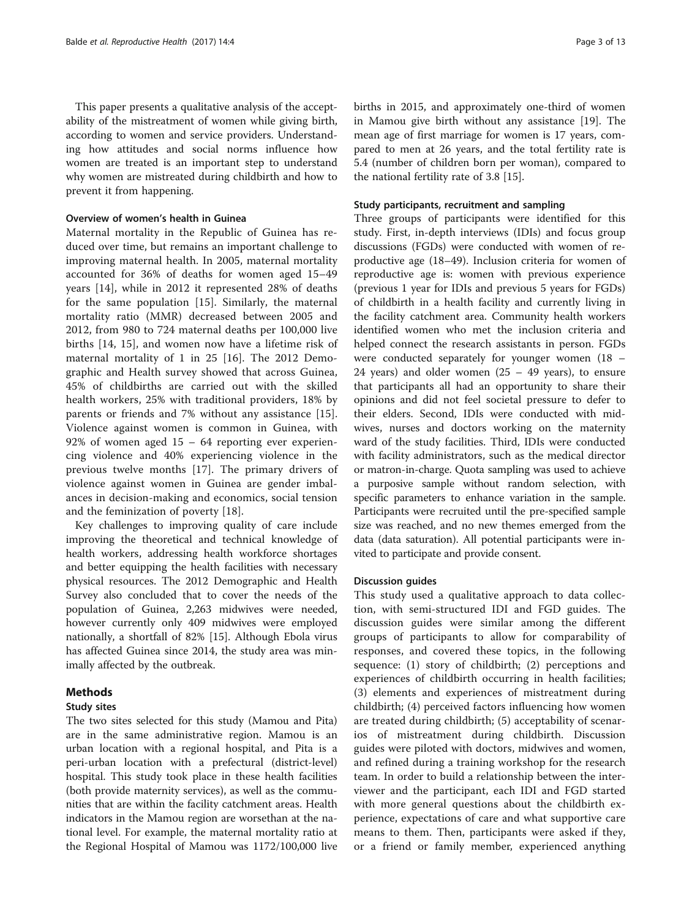This paper presents a qualitative analysis of the acceptability of the mistreatment of women while giving birth, according to women and service providers. Understanding how attitudes and social norms influence how women are treated is an important step to understand why women are mistreated during childbirth and how to prevent it from happening.

### Overview of women's health in Guinea

Maternal mortality in the Republic of Guinea has reduced over time, but remains an important challenge to improving maternal health. In 2005, maternal mortality accounted for 36% of deaths for women aged 15–49 years [\[14](#page-12-0)], while in 2012 it represented 28% of deaths for the same population [\[15](#page-12-0)]. Similarly, the maternal mortality ratio (MMR) decreased between 2005 and 2012, from 980 to 724 maternal deaths per 100,000 live births [[14, 15\]](#page-12-0), and women now have a lifetime risk of maternal mortality of 1 in 25 [\[16](#page-12-0)]. The 2012 Demographic and Health survey showed that across Guinea, 45% of childbirths are carried out with the skilled health workers, 25% with traditional providers, 18% by parents or friends and 7% without any assistance [\[15](#page-12-0)]. Violence against women is common in Guinea, with 92% of women aged 15 – 64 reporting ever experiencing violence and 40% experiencing violence in the previous twelve months [[17\]](#page-12-0). The primary drivers of violence against women in Guinea are gender imbalances in decision-making and economics, social tension and the feminization of poverty [\[18](#page-12-0)].

Key challenges to improving quality of care include improving the theoretical and technical knowledge of health workers, addressing health workforce shortages and better equipping the health facilities with necessary physical resources. The 2012 Demographic and Health Survey also concluded that to cover the needs of the population of Guinea, 2,263 midwives were needed, however currently only 409 midwives were employed nationally, a shortfall of 82% [\[15](#page-12-0)]. Although Ebola virus has affected Guinea since 2014, the study area was minimally affected by the outbreak.

# Methods

## Study sites

The two sites selected for this study (Mamou and Pita) are in the same administrative region. Mamou is an urban location with a regional hospital, and Pita is a peri-urban location with a prefectural (district-level) hospital. This study took place in these health facilities (both provide maternity services), as well as the communities that are within the facility catchment areas. Health indicators in the Mamou region are worsethan at the national level. For example, the maternal mortality ratio at the Regional Hospital of Mamou was 1172/100,000 live

births in 2015, and approximately one-third of women in Mamou give birth without any assistance [[19](#page-12-0)]. The mean age of first marriage for women is 17 years, compared to men at 26 years, and the total fertility rate is 5.4 (number of children born per woman), compared to the national fertility rate of 3.8 [\[15](#page-12-0)].

## Study participants, recruitment and sampling

Three groups of participants were identified for this study. First, in-depth interviews (IDIs) and focus group discussions (FGDs) were conducted with women of reproductive age (18–49). Inclusion criteria for women of reproductive age is: women with previous experience (previous 1 year for IDIs and previous 5 years for FGDs) of childbirth in a health facility and currently living in the facility catchment area. Community health workers identified women who met the inclusion criteria and helped connect the research assistants in person. FGDs were conducted separately for younger women (18 – 24 years) and older women  $(25 - 49$  years), to ensure that participants all had an opportunity to share their opinions and did not feel societal pressure to defer to their elders. Second, IDIs were conducted with midwives, nurses and doctors working on the maternity ward of the study facilities. Third, IDIs were conducted with facility administrators, such as the medical director or matron-in-charge. Quota sampling was used to achieve a purposive sample without random selection, with specific parameters to enhance variation in the sample. Participants were recruited until the pre-specified sample size was reached, and no new themes emerged from the data (data saturation). All potential participants were invited to participate and provide consent.

## Discussion guides

This study used a qualitative approach to data collection, with semi-structured IDI and FGD guides. The discussion guides were similar among the different groups of participants to allow for comparability of responses, and covered these topics, in the following sequence: (1) story of childbirth; (2) perceptions and experiences of childbirth occurring in health facilities; (3) elements and experiences of mistreatment during childbirth; (4) perceived factors influencing how women are treated during childbirth; (5) acceptability of scenarios of mistreatment during childbirth. Discussion guides were piloted with doctors, midwives and women, and refined during a training workshop for the research team. In order to build a relationship between the interviewer and the participant, each IDI and FGD started with more general questions about the childbirth experience, expectations of care and what supportive care means to them. Then, participants were asked if they, or a friend or family member, experienced anything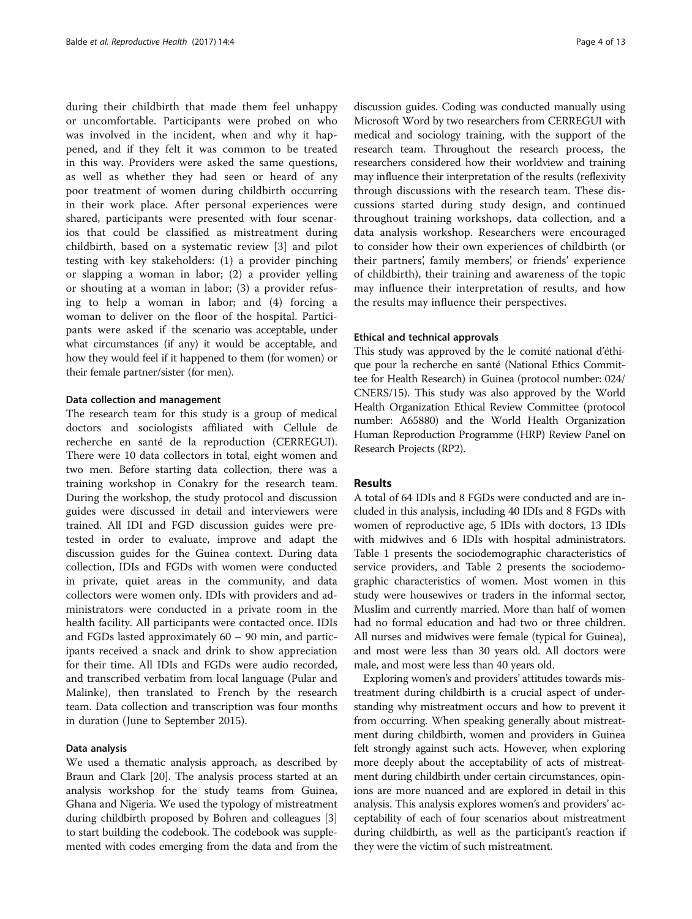during their childbirth that made them feel unhappy or uncomfortable. Participants were probed on who was involved in the incident, when and why it happened, and if they felt it was common to be treated in this way. Providers were asked the same questions, as well as whether they had seen or heard of any poor treatment of women during childbirth occurring in their work place. After personal experiences were shared, participants were presented with four scenarios that could be classified as mistreatment during childbirth, based on a systematic review [[3](#page-11-0)] and pilot testing with key stakeholders: (1) a provider pinching or slapping a woman in labor; (2) a provider yelling or shouting at a woman in labor; (3) a provider refusing to help a woman in labor; and (4) forcing a woman to deliver on the floor of the hospital. Participants were asked if the scenario was acceptable, under what circumstances (if any) it would be acceptable, and how they would feel if it happened to them (for women) or their female partner/sister (for men).

### Data collection and management

The research team for this study is a group of medical doctors and sociologists affiliated with Cellule de recherche en santé de la reproduction (CERREGUI). There were 10 data collectors in total, eight women and two men. Before starting data collection, there was a training workshop in Conakry for the research team. During the workshop, the study protocol and discussion guides were discussed in detail and interviewers were trained. All IDI and FGD discussion guides were pretested in order to evaluate, improve and adapt the discussion guides for the Guinea context. During data collection, IDIs and FGDs with women were conducted in private, quiet areas in the community, and data collectors were women only. IDIs with providers and administrators were conducted in a private room in the health facility. All participants were contacted once. IDIs and FGDs lasted approximately 60 – 90 min, and participants received a snack and drink to show appreciation for their time. All IDIs and FGDs were audio recorded, and transcribed verbatim from local language (Pular and Malinke), then translated to French by the research team. Data collection and transcription was four months in duration (June to September 2015).

## Data analysis

We used a thematic analysis approach, as described by Braun and Clark [\[20\]](#page-12-0). The analysis process started at an analysis workshop for the study teams from Guinea, Ghana and Nigeria. We used the typology of mistreatment during childbirth proposed by Bohren and colleagues [[3](#page-11-0)] to start building the codebook. The codebook was supplemented with codes emerging from the data and from the discussion guides. Coding was conducted manually using Microsoft Word by two researchers from CERREGUI with medical and sociology training, with the support of the research team. Throughout the research process, the researchers considered how their worldview and training may influence their interpretation of the results (reflexivity through discussions with the research team. These discussions started during study design, and continued throughout training workshops, data collection, and a data analysis workshop. Researchers were encouraged to consider how their own experiences of childbirth (or their partners', family members', or friends' experience of childbirth), their training and awareness of the topic may influence their interpretation of results, and how the results may influence their perspectives.

### Ethical and technical approvals

This study was approved by the le comité national d'éthique pour la recherche en santé (National Ethics Committee for Health Research) in Guinea (protocol number: 024/ CNERS/15). This study was also approved by the World Health Organization Ethical Review Committee (protocol number: A65880) and the World Health Organization Human Reproduction Programme (HRP) Review Panel on Research Projects (RP2).

# Results

A total of 64 IDIs and 8 FGDs were conducted and are included in this analysis, including 40 IDIs and 8 FGDs with women of reproductive age, 5 IDIs with doctors, 13 IDIs with midwives and 6 IDIs with hospital administrators. Table [1](#page-4-0) presents the sociodemographic characteristics of service providers, and Table [2](#page-5-0) presents the sociodemographic characteristics of women. Most women in this study were housewives or traders in the informal sector, Muslim and currently married. More than half of women had no formal education and had two or three children. All nurses and midwives were female (typical for Guinea), and most were less than 30 years old. All doctors were male, and most were less than 40 years old.

Exploring women's and providers' attitudes towards mistreatment during childbirth is a crucial aspect of understanding why mistreatment occurs and how to prevent it from occurring. When speaking generally about mistreatment during childbirth, women and providers in Guinea felt strongly against such acts. However, when exploring more deeply about the acceptability of acts of mistreatment during childbirth under certain circumstances, opinions are more nuanced and are explored in detail in this analysis. This analysis explores women's and providers' acceptability of each of four scenarios about mistreatment during childbirth, as well as the participant's reaction if they were the victim of such mistreatment.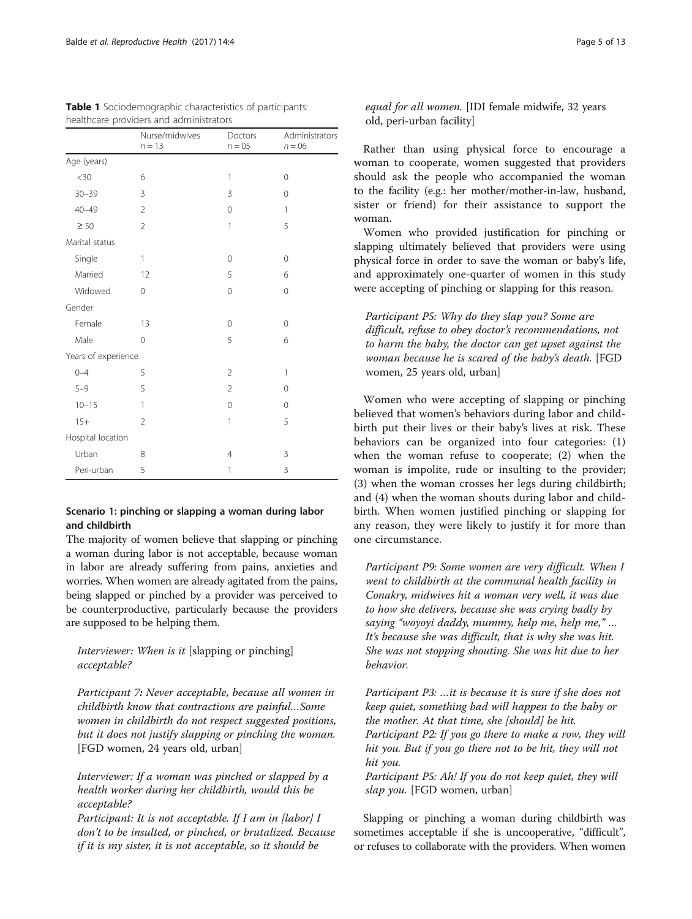|                     | Nurse/midwives<br>$n = 13$ | Doctors<br>$n = 05$ | Administrators<br>$n = 06$ |
|---------------------|----------------------------|---------------------|----------------------------|
| Age (years)         |                            |                     |                            |
| <30                 | 6                          | 1                   | 0                          |
| $30 - 39$           | 3                          | 3                   | $\Omega$                   |
| $40 - 49$           | $\overline{2}$             | 0                   | 1                          |
| $\geq 50$           | $\overline{2}$             | 1                   | 5                          |
| Marital status      |                            |                     |                            |
| Single              | 1                          | 0                   | 0                          |
| Married             | 12                         | 5                   | 6                          |
| Widowed             | 0                          | $\mathbf 0$         | $\mathbf 0$                |
| Gender              |                            |                     |                            |
| Female              | 13                         | 0                   | $\mathbf{0}$               |
| Male                | $\Omega$                   | 5                   | 6                          |
| Years of experience |                            |                     |                            |
| $0 - 4$             | 5                          | $\overline{2}$      | 1                          |
| $5 - 9$             | 5                          | $\overline{2}$      | 0                          |
| $10 - 15$           | 1                          | 0                   | $\mathbf{0}$               |
| $15+$               | 2                          | 1                   | 5                          |
| Hospital location   |                            |                     |                            |
| Urban               | 8                          | $\overline{4}$      | 3                          |
| Peri-urban          | 5                          | 1                   | 3                          |

<span id="page-4-0"></span>

| <b>Table 1</b> Sociodemographic characteristics of participants: |  |
|------------------------------------------------------------------|--|
| healthcare providers and administrators                          |  |

# Scenario 1: pinching or slapping a woman during labor and childbirth

The majority of women believe that slapping or pinching a woman during labor is not acceptable, because woman in labor are already suffering from pains, anxieties and worries. When women are already agitated from the pains, being slapped or pinched by a provider was perceived to be counterproductive, particularly because the providers are supposed to be helping them.

# Interviewer: When is it [slapping or pinching] acceptable?

Participant 7: Never acceptable, because all women in childbirth know that contractions are painful…Some women in childbirth do not respect suggested positions, but it does not justify slapping or pinching the woman. [FGD women, 24 years old, urban]

# Interviewer: If a woman was pinched or slapped by a health worker during her childbirth, would this be acceptable?

Participant: It is not acceptable. If I am in [labor] I don't to be insulted, or pinched, or brutalized. Because if it is my sister, it is not acceptable, so it should be

equal for all women. [IDI female midwife, 32 years old, peri-urban facility]

Rather than using physical force to encourage a woman to cooperate, women suggested that providers should ask the people who accompanied the woman to the facility (e.g.: her mother/mother-in-law, husband, sister or friend) for their assistance to support the woman.

Women who provided justification for pinching or slapping ultimately believed that providers were using physical force in order to save the woman or baby's life, and approximately one-quarter of women in this study were accepting of pinching or slapping for this reason.

Participant P5: Why do they slap you? Some are difficult, refuse to obey doctor's recommendations, not to harm the baby, the doctor can get upset against the woman because he is scared of the baby's death. [FGD women, 25 years old, urban]

Women who were accepting of slapping or pinching believed that women's behaviors during labor and childbirth put their lives or their baby's lives at risk. These behaviors can be organized into four categories: (1) when the woman refuse to cooperate; (2) when the woman is impolite, rude or insulting to the provider; (3) when the woman crosses her legs during childbirth; and (4) when the woman shouts during labor and childbirth. When women justified pinching or slapping for any reason, they were likely to justify it for more than one circumstance.

Participant P9: Some women are very difficult. When I went to childbirth at the communal health facility in Conakry, midwives hit a woman very well, it was due to how she delivers, because she was crying badly by saying "woyoyi daddy, mummy, help me, help me,"... It's because she was difficult, that is why she was hit. She was not stopping shouting. She was hit due to her behavior.

Participant P3: …it is because it is sure if she does not keep quiet, something bad will happen to the baby or the mother. At that time, she [should] be hit. Participant P2: If you go there to make a row, they will hit you. But if you go there not to be hit, they will not hit you.

Participant P5: Ah! If you do not keep quiet, they will slap you. [FGD women, urban]

Slapping or pinching a woman during childbirth was sometimes acceptable if she is uncooperative, "difficult", or refuses to collaborate with the providers. When women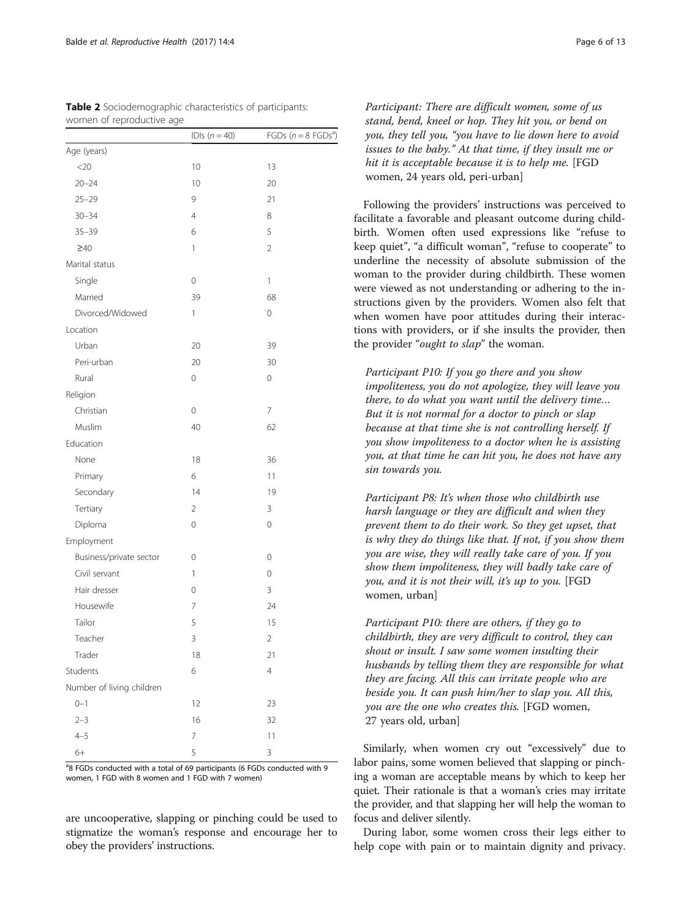|                           | IDIs $(n = 40)$          | FGDs $(n = 8$ FGDs <sup>a</sup> ) |
|---------------------------|--------------------------|-----------------------------------|
| Age (years)               |                          |                                   |
| $<$ 20                    | 10                       | 13                                |
| $20 - 24$                 | 10                       | 20                                |
| $25 - 29$                 | 9                        | 21                                |
| $30 - 34$                 | $\overline{4}$           | 8                                 |
| $35 - 39$                 | 6                        | 5                                 |
| $\geq 40$                 | 1                        | $\overline{2}$                    |
| Marital status            |                          |                                   |
| Single                    | $\mathbf 0$              | $\mathbb{1}$                      |
| Married                   | 39                       | 68                                |
| Divorced/Widowed          | 1                        | 0                                 |
| Location                  |                          |                                   |
| Urban                     | 20                       | 39                                |
| Peri-urban                | 20                       | 30                                |
| Rural                     | 0                        | 0                                 |
| Religion                  |                          |                                   |
| Christian                 | $\mathbf 0$              | 7                                 |
| Muslim                    | 40                       | 62                                |
| Education                 |                          |                                   |
| None                      | 18                       | 36                                |
| Primary                   | 6                        | 11                                |
| Secondary                 | 14                       | 19                                |
| Tertiary                  | 2                        | 3                                 |
| Diploma                   | $\mathbf 0$              | 0                                 |
| Employment                |                          |                                   |
| Business/private sector   | 0                        | 0                                 |
| Civil servant             | 1                        | 0                                 |
| Hair dresser              | 0                        | 3                                 |
| Housewife                 | 7                        | 24                                |
| Tailor                    | 5                        | 15                                |
| Teacher                   | 3                        | $\overline{2}$                    |
| Trader                    | 18                       | 21                                |
| Students                  | 6                        | $\overline{4}$                    |
| Number of living children |                          |                                   |
| $0 - 1$                   | 12                       | 23                                |
| $2 - 3$                   | 16                       | 32                                |
| $4 - 5$                   | $\overline{\phantom{a}}$ | 11                                |
| $6+$                      | 5                        | 3                                 |

<span id="page-5-0"></span>

| <b>Table 2</b> Sociodemographic characteristics of participants: |  |
|------------------------------------------------------------------|--|
| women of reproductive age                                        |  |

<sup>a</sup>8 FGDs conducted with a total of 69 participants (6 FGDs conducted with 9 women, 1 FGD with 8 women and 1 FGD with 7 women)

are uncooperative, slapping or pinching could be used to stigmatize the woman's response and encourage her to obey the providers' instructions.

Participant: There are difficult women, some of us stand, bend, kneel or hop. They hit you, or bend on you, they tell you, "you have to lie down here to avoid issues to the baby." At that time, if they insult me or hit it is acceptable because it is to help me. [FGD women, 24 years old, peri-urban]

Following the providers' instructions was perceived to facilitate a favorable and pleasant outcome during childbirth. Women often used expressions like "refuse to keep quiet", "a difficult woman", "refuse to cooperate" to underline the necessity of absolute submission of the woman to the provider during childbirth. These women were viewed as not understanding or adhering to the instructions given by the providers. Women also felt that when women have poor attitudes during their interactions with providers, or if she insults the provider, then the provider "ought to slap" the woman.

Participant P10: If you go there and you show impoliteness, you do not apologize, they will leave you there, to do what you want until the delivery time… But it is not normal for a doctor to pinch or slap because at that time she is not controlling herself. If you show impoliteness to a doctor when he is assisting you, at that time he can hit you, he does not have any sin towards you.

Participant P8: It's when those who childbirth use harsh language or they are difficult and when they prevent them to do their work. So they get upset, that is why they do things like that. If not, if you show them you are wise, they will really take care of you. If you show them impoliteness, they will badly take care of you, and it is not their will, it's up to you. [FGD women, urban]

Participant P10: there are others, if they go to childbirth, they are very difficult to control, they can shout or insult. I saw some women insulting their husbands by telling them they are responsible for what they are facing. All this can irritate people who are beside you. It can push him/her to slap you. All this, you are the one who creates this. [FGD women, 27 years old, urban]

Similarly, when women cry out "excessively" due to labor pains, some women believed that slapping or pinching a woman are acceptable means by which to keep her quiet. Their rationale is that a woman's cries may irritate the provider, and that slapping her will help the woman to focus and deliver silently.

During labor, some women cross their legs either to help cope with pain or to maintain dignity and privacy.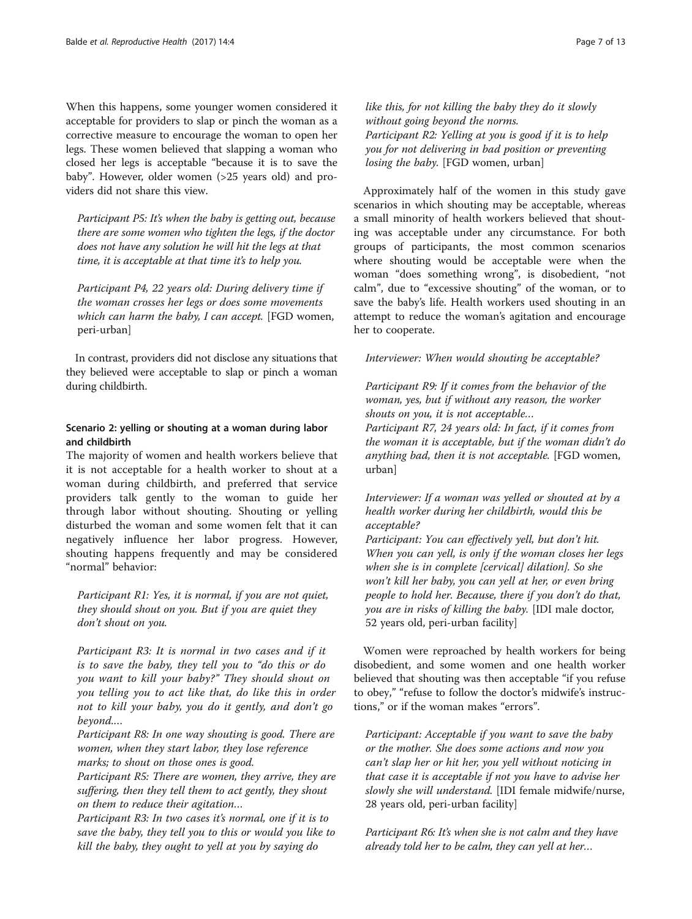When this happens, some younger women considered it acceptable for providers to slap or pinch the woman as a corrective measure to encourage the woman to open her legs. These women believed that slapping a woman who closed her legs is acceptable "because it is to save the baby". However, older women (>25 years old) and providers did not share this view.

Participant P5: It's when the baby is getting out, because there are some women who tighten the legs, if the doctor does not have any solution he will hit the legs at that time, it is acceptable at that time it's to help you.

Participant P4, 22 years old: During delivery time if the woman crosses her legs or does some movements which can harm the baby, I can accept. [FGD women, peri-urban]

In contrast, providers did not disclose any situations that they believed were acceptable to slap or pinch a woman during childbirth.

# Scenario 2: yelling or shouting at a woman during labor and childbirth

The majority of women and health workers believe that it is not acceptable for a health worker to shout at a woman during childbirth, and preferred that service providers talk gently to the woman to guide her through labor without shouting. Shouting or yelling disturbed the woman and some women felt that it can negatively influence her labor progress. However, shouting happens frequently and may be considered "normal" behavior:

Participant R1: Yes, it is normal, if you are not quiet, they should shout on you. But if you are quiet they don't shout on you.

Participant R3: It is normal in two cases and if it is to save the baby, they tell you to "do this or do you want to kill your baby?" They should shout on you telling you to act like that, do like this in order not to kill your baby, you do it gently, and don't go beyond.…

Participant R8: In one way shouting is good. There are women, when they start labor, they lose reference marks; to shout on those ones is good.

Participant R5: There are women, they arrive, they are suffering, then they tell them to act gently, they shout on them to reduce their agitation…

Participant R3: In two cases it's normal, one if it is to save the baby, they tell you to this or would you like to kill the baby, they ought to yell at you by saying do

like this, for not killing the baby they do it slowly without going beyond the norms. Participant R2: Yelling at you is good if it is to help you for not delivering in bad position or preventing losing the baby. [FGD women, urban]

Approximately half of the women in this study gave scenarios in which shouting may be acceptable, whereas a small minority of health workers believed that shouting was acceptable under any circumstance. For both groups of participants, the most common scenarios where shouting would be acceptable were when the woman "does something wrong", is disobedient, "not calm", due to "excessive shouting" of the woman, or to save the baby's life. Health workers used shouting in an attempt to reduce the woman's agitation and encourage her to cooperate.

Interviewer: When would shouting be acceptable?

Participant R9: If it comes from the behavior of the woman, yes, but if without any reason, the worker shouts on you, it is not acceptable...

Participant R7, 24 years old: In fact, if it comes from the woman it is acceptable, but if the woman didn't do anything bad, then it is not acceptable. [FGD women, urban]

Interviewer: If a woman was yelled or shouted at by a health worker during her childbirth, would this be acceptable?

Participant: You can effectively yell, but don't hit. When you can yell, is only if the woman closes her legs when she is in complete [cervical] dilation]. So she won't kill her baby, you can yell at her, or even bring people to hold her. Because, there if you don't do that, you are in risks of killing the baby. [IDI male doctor, 52 years old, peri-urban facility]

Women were reproached by health workers for being disobedient, and some women and one health worker believed that shouting was then acceptable "if you refuse to obey," "refuse to follow the doctor's midwife's instructions," or if the woman makes "errors".

Participant: Acceptable if you want to save the baby or the mother. She does some actions and now you can't slap her or hit her, you yell without noticing in that case it is acceptable if not you have to advise her slowly she will understand. [IDI female midwife/nurse, 28 years old, peri-urban facility]

Participant R6: It's when she is not calm and they have already told her to be calm, they can yell at her…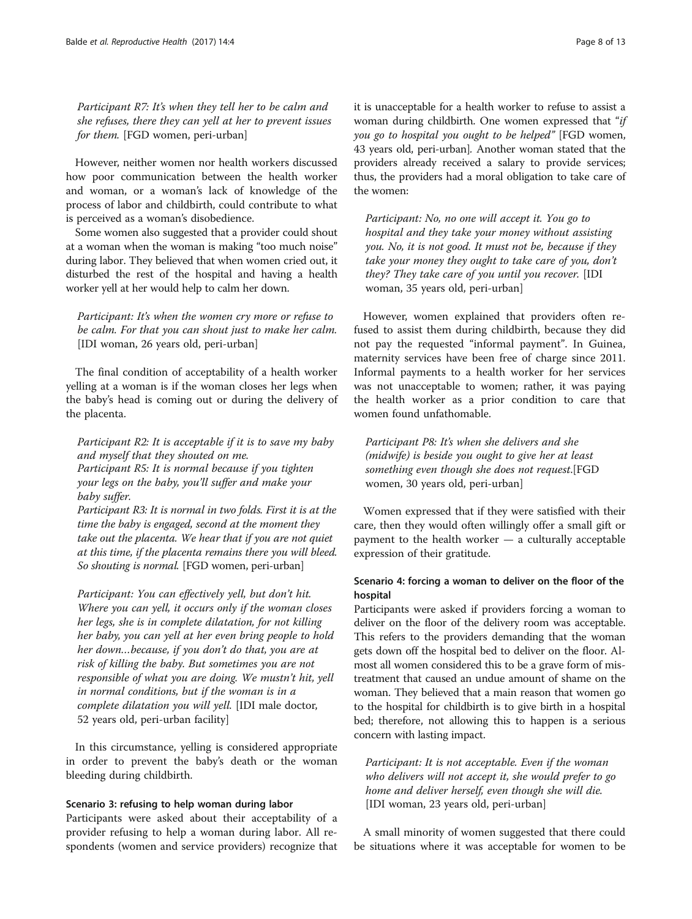Participant R7: It's when they tell her to be calm and she refuses, there they can yell at her to prevent issues for them. [FGD women, peri-urban]

However, neither women nor health workers discussed how poor communication between the health worker and woman, or a woman's lack of knowledge of the process of labor and childbirth, could contribute to what is perceived as a woman's disobedience.

Some women also suggested that a provider could shout at a woman when the woman is making "too much noise" during labor. They believed that when women cried out, it disturbed the rest of the hospital and having a health worker yell at her would help to calm her down.

Participant: It's when the women cry more or refuse to be calm. For that you can shout just to make her calm. [IDI woman, 26 years old, peri-urban]

The final condition of acceptability of a health worker yelling at a woman is if the woman closes her legs when the baby's head is coming out or during the delivery of the placenta.

Participant R2: It is acceptable if it is to save my baby and myself that they shouted on me. Participant R5: It is normal because if you tighten your legs on the baby, you'll suffer and make your baby suffer.

Participant R3: It is normal in two folds. First it is at the time the baby is engaged, second at the moment they take out the placenta. We hear that if you are not quiet at this time, if the placenta remains there you will bleed. So shouting is normal. [FGD women, peri-urban]

Participant: You can effectively yell, but don't hit. Where you can yell, it occurs only if the woman closes her legs, she is in complete dilatation, for not killing her baby, you can yell at her even bring people to hold her down…because, if you don't do that, you are at risk of killing the baby. But sometimes you are not responsible of what you are doing. We mustn't hit, yell in normal conditions, but if the woman is in a complete dilatation you will yell. [IDI male doctor, 52 years old, peri-urban facility]

In this circumstance, yelling is considered appropriate in order to prevent the baby's death or the woman bleeding during childbirth.

#### Scenario 3: refusing to help woman during labor

Participants were asked about their acceptability of a provider refusing to help a woman during labor. All respondents (women and service providers) recognize that it is unacceptable for a health worker to refuse to assist a woman during childbirth. One women expressed that "if you go to hospital you ought to be helped" [FGD women, 43 years old, peri-urban]. Another woman stated that the providers already received a salary to provide services; thus, the providers had a moral obligation to take care of

Participant: No, no one will accept it. You go to hospital and they take your money without assisting you. No, it is not good. It must not be, because if they take your money they ought to take care of you, don't they? They take care of you until you recover. [IDI woman, 35 years old, peri-urban]

the women:

However, women explained that providers often refused to assist them during childbirth, because they did not pay the requested "informal payment". In Guinea, maternity services have been free of charge since 2011. Informal payments to a health worker for her services was not unacceptable to women; rather, it was paying the health worker as a prior condition to care that women found unfathomable.

Participant P8: It's when she delivers and she (midwife) is beside you ought to give her at least something even though she does not request.[FGD women, 30 years old, peri-urban]

Women expressed that if they were satisfied with their care, then they would often willingly offer a small gift or payment to the health worker  $-$  a culturally acceptable expression of their gratitude.

# Scenario 4: forcing a woman to deliver on the floor of the hospital

Participants were asked if providers forcing a woman to deliver on the floor of the delivery room was acceptable. This refers to the providers demanding that the woman gets down off the hospital bed to deliver on the floor. Almost all women considered this to be a grave form of mistreatment that caused an undue amount of shame on the woman. They believed that a main reason that women go to the hospital for childbirth is to give birth in a hospital bed; therefore, not allowing this to happen is a serious concern with lasting impact.

Participant: It is not acceptable. Even if the woman who delivers will not accept it, she would prefer to go home and deliver herself, even though she will die. [IDI woman, 23 years old, peri-urban]

A small minority of women suggested that there could be situations where it was acceptable for women to be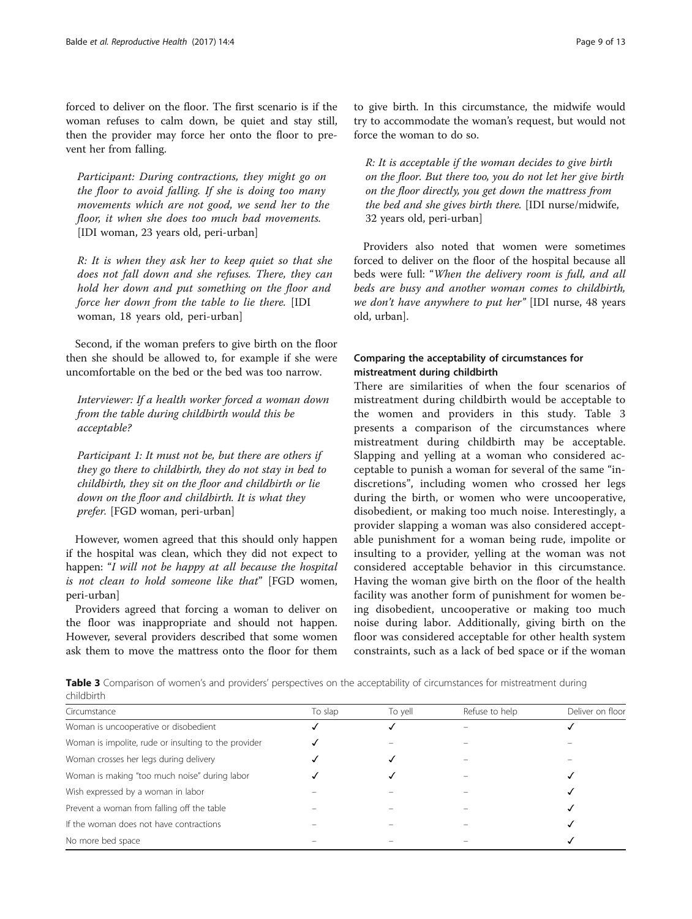forced to deliver on the floor. The first scenario is if the woman refuses to calm down, be quiet and stay still, then the provider may force her onto the floor to prevent her from falling.

Participant: During contractions, they might go on the floor to avoid falling. If she is doing too many movements which are not good, we send her to the floor, it when she does too much bad movements. [IDI woman, 23 years old, peri-urban]

R: It is when they ask her to keep quiet so that she does not fall down and she refuses. There, they can hold her down and put something on the floor and force her down from the table to lie there. [IDI woman, 18 years old, peri-urban]

Second, if the woman prefers to give birth on the floor then she should be allowed to, for example if she were uncomfortable on the bed or the bed was too narrow.

Interviewer: If a health worker forced a woman down from the table during childbirth would this be acceptable?

Participant 1: It must not be, but there are others if they go there to childbirth, they do not stay in bed to childbirth, they sit on the floor and childbirth or lie down on the floor and childbirth. It is what they prefer. [FGD woman, peri-urban]

However, women agreed that this should only happen if the hospital was clean, which they did not expect to happen: "I will not be happy at all because the hospital is not clean to hold someone like that" [FGD women, peri-urban]

Providers agreed that forcing a woman to deliver on the floor was inappropriate and should not happen. However, several providers described that some women ask them to move the mattress onto the floor for them to give birth. In this circumstance, the midwife would try to accommodate the woman's request, but would not force the woman to do so.

R: It is acceptable if the woman decides to give birth on the floor. But there too, you do not let her give birth on the floor directly, you get down the mattress from the bed and she gives birth there. [IDI nurse/midwife, 32 years old, peri-urban]

Providers also noted that women were sometimes forced to deliver on the floor of the hospital because all beds were full: "When the delivery room is full, and all beds are busy and another woman comes to childbirth, we don't have anywhere to put her" [IDI nurse, 48 years old, urban].

# Comparing the acceptability of circumstances for mistreatment during childbirth

There are similarities of when the four scenarios of mistreatment during childbirth would be acceptable to the women and providers in this study. Table 3 presents a comparison of the circumstances where mistreatment during childbirth may be acceptable. Slapping and yelling at a woman who considered acceptable to punish a woman for several of the same "indiscretions", including women who crossed her legs during the birth, or women who were uncooperative, disobedient, or making too much noise. Interestingly, a provider slapping a woman was also considered acceptable punishment for a woman being rude, impolite or insulting to a provider, yelling at the woman was not considered acceptable behavior in this circumstance. Having the woman give birth on the floor of the health facility was another form of punishment for women being disobedient, uncooperative or making too much noise during labor. Additionally, giving birth on the floor was considered acceptable for other health system constraints, such as a lack of bed space or if the woman

Table 3 Comparison of women's and providers' perspectives on the acceptability of circumstances for mistreatment during childbirth

| Circumstance                                         | To slap | To yell | Refuse to help | Deliver on floor |
|------------------------------------------------------|---------|---------|----------------|------------------|
| Woman is uncooperative or disobedient                |         |         |                |                  |
| Woman is impolite, rude or insulting to the provider |         |         |                |                  |
| Woman crosses her legs during delivery               |         |         |                |                  |
| Woman is making "too much noise" during labor        |         |         |                |                  |
| Wish expressed by a woman in labor                   |         |         |                |                  |
| Prevent a woman from falling off the table           |         |         |                |                  |
| If the woman does not have contractions              |         |         |                |                  |
| No more bed space                                    |         |         |                |                  |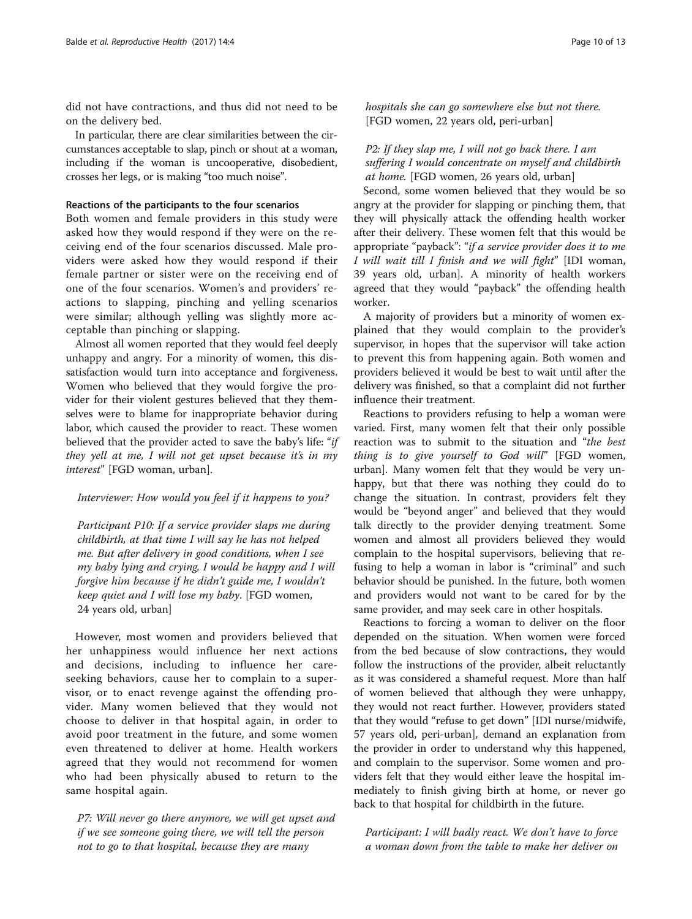did not have contractions, and thus did not need to be on the delivery bed.

In particular, there are clear similarities between the circumstances acceptable to slap, pinch or shout at a woman, including if the woman is uncooperative, disobedient, crosses her legs, or is making "too much noise".

#### Reactions of the participants to the four scenarios

Both women and female providers in this study were asked how they would respond if they were on the receiving end of the four scenarios discussed. Male providers were asked how they would respond if their female partner or sister were on the receiving end of one of the four scenarios. Women's and providers' reactions to slapping, pinching and yelling scenarios were similar; although yelling was slightly more acceptable than pinching or slapping.

Almost all women reported that they would feel deeply unhappy and angry. For a minority of women, this dissatisfaction would turn into acceptance and forgiveness. Women who believed that they would forgive the provider for their violent gestures believed that they themselves were to blame for inappropriate behavior during labor, which caused the provider to react. These women believed that the provider acted to save the baby's life: "if they yell at me, I will not get upset because it's in my interest" [FGD woman, urban].

#### Interviewer: How would you feel if it happens to you?

Participant P10: If a service provider slaps me during childbirth, at that time I will say he has not helped me. But after delivery in good conditions, when I see my baby lying and crying, I would be happy and I will forgive him because if he didn't guide me, I wouldn't keep quiet and I will lose my baby. [FGD women, 24 years old, urban]

However, most women and providers believed that her unhappiness would influence her next actions and decisions, including to influence her careseeking behaviors, cause her to complain to a supervisor, or to enact revenge against the offending provider. Many women believed that they would not choose to deliver in that hospital again, in order to avoid poor treatment in the future, and some women even threatened to deliver at home. Health workers agreed that they would not recommend for women who had been physically abused to return to the same hospital again.

P7: Will never go there anymore, we will get upset and if we see someone going there, we will tell the person not to go to that hospital, because they are many

hospitals she can go somewhere else but not there. [FGD women, 22 years old, peri-urban]

# P2: If they slap me, I will not go back there. I am suffering I would concentrate on myself and childbirth at home. [FGD women, 26 years old, urban]

Second, some women believed that they would be so angry at the provider for slapping or pinching them, that they will physically attack the offending health worker after their delivery. These women felt that this would be appropriate "payback": "if a service provider does it to me I will wait till I finish and we will fight" [IDI woman, 39 years old, urban]. A minority of health workers agreed that they would "payback" the offending health worker.

A majority of providers but a minority of women explained that they would complain to the provider's supervisor, in hopes that the supervisor will take action to prevent this from happening again. Both women and providers believed it would be best to wait until after the delivery was finished, so that a complaint did not further influence their treatment.

Reactions to providers refusing to help a woman were varied. First, many women felt that their only possible reaction was to submit to the situation and "the best thing is to give yourself to God will" [FGD women, urban]. Many women felt that they would be very unhappy, but that there was nothing they could do to change the situation. In contrast, providers felt they would be "beyond anger" and believed that they would talk directly to the provider denying treatment. Some women and almost all providers believed they would complain to the hospital supervisors, believing that refusing to help a woman in labor is "criminal" and such behavior should be punished. In the future, both women and providers would not want to be cared for by the same provider, and may seek care in other hospitals.

Reactions to forcing a woman to deliver on the floor depended on the situation. When women were forced from the bed because of slow contractions, they would follow the instructions of the provider, albeit reluctantly as it was considered a shameful request. More than half of women believed that although they were unhappy, they would not react further. However, providers stated that they would "refuse to get down" [IDI nurse/midwife, 57 years old, peri-urban], demand an explanation from the provider in order to understand why this happened, and complain to the supervisor. Some women and providers felt that they would either leave the hospital immediately to finish giving birth at home, or never go back to that hospital for childbirth in the future.

Participant: I will badly react. We don't have to force a woman down from the table to make her deliver on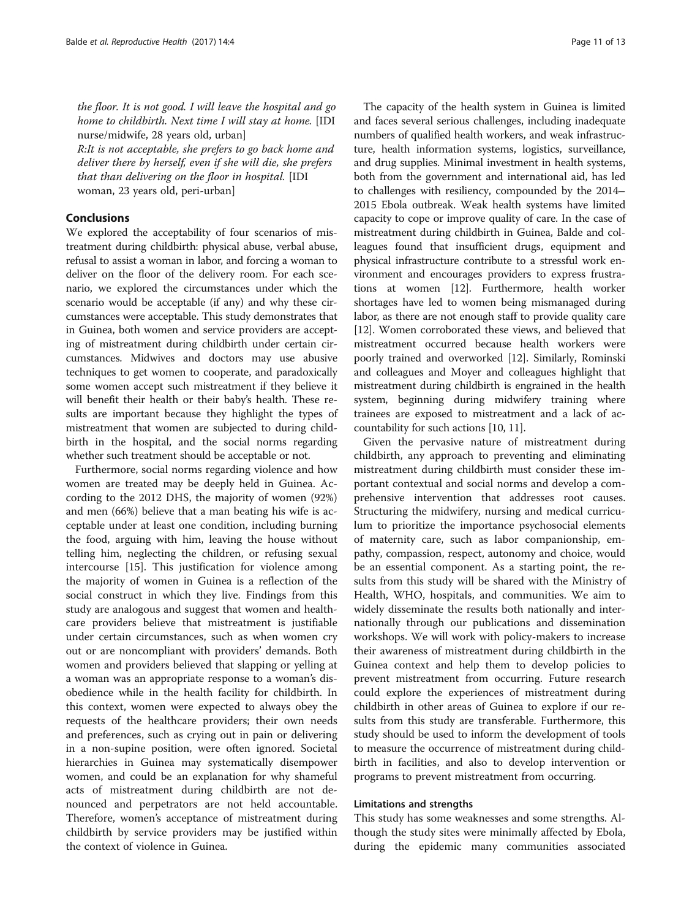the floor. It is not good. I will leave the hospital and go home to childbirth. Next time I will stay at home. [IDI nurse/midwife, 28 years old, urban]

R:It is not acceptable, she prefers to go back home and deliver there by herself, even if she will die, she prefers that than delivering on the floor in hospital. [IDI woman, 23 years old, peri-urban]

# Conclusions

We explored the acceptability of four scenarios of mistreatment during childbirth: physical abuse, verbal abuse, refusal to assist a woman in labor, and forcing a woman to deliver on the floor of the delivery room. For each scenario, we explored the circumstances under which the scenario would be acceptable (if any) and why these circumstances were acceptable. This study demonstrates that in Guinea, both women and service providers are accepting of mistreatment during childbirth under certain circumstances. Midwives and doctors may use abusive techniques to get women to cooperate, and paradoxically some women accept such mistreatment if they believe it will benefit their health or their baby's health. These results are important because they highlight the types of mistreatment that women are subjected to during childbirth in the hospital, and the social norms regarding whether such treatment should be acceptable or not.

Furthermore, social norms regarding violence and how women are treated may be deeply held in Guinea. According to the 2012 DHS, the majority of women (92%) and men (66%) believe that a man beating his wife is acceptable under at least one condition, including burning the food, arguing with him, leaving the house without telling him, neglecting the children, or refusing sexual intercourse [[15\]](#page-12-0). This justification for violence among the majority of women in Guinea is a reflection of the social construct in which they live. Findings from this study are analogous and suggest that women and healthcare providers believe that mistreatment is justifiable under certain circumstances, such as when women cry out or are noncompliant with providers' demands. Both women and providers believed that slapping or yelling at a woman was an appropriate response to a woman's disobedience while in the health facility for childbirth. In this context, women were expected to always obey the requests of the healthcare providers; their own needs and preferences, such as crying out in pain or delivering in a non-supine position, were often ignored. Societal hierarchies in Guinea may systematically disempower women, and could be an explanation for why shameful acts of mistreatment during childbirth are not denounced and perpetrators are not held accountable. Therefore, women's acceptance of mistreatment during childbirth by service providers may be justified within the context of violence in Guinea.

The capacity of the health system in Guinea is limited and faces several serious challenges, including inadequate numbers of qualified health workers, and weak infrastructure, health information systems, logistics, surveillance, and drug supplies. Minimal investment in health systems, both from the government and international aid, has led to challenges with resiliency, compounded by the 2014– 2015 Ebola outbreak. Weak health systems have limited capacity to cope or improve quality of care. In the case of mistreatment during childbirth in Guinea, Balde and colleagues found that insufficient drugs, equipment and physical infrastructure contribute to a stressful work environment and encourages providers to express frustrations at women [\[12\]](#page-12-0). Furthermore, health worker shortages have led to women being mismanaged during labor, as there are not enough staff to provide quality care [[12](#page-12-0)]. Women corroborated these views, and believed that mistreatment occurred because health workers were poorly trained and overworked [\[12\]](#page-12-0). Similarly, Rominski and colleagues and Moyer and colleagues highlight that mistreatment during childbirth is engrained in the health system, beginning during midwifery training where trainees are exposed to mistreatment and a lack of accountability for such actions [\[10](#page-12-0), [11](#page-12-0)].

Given the pervasive nature of mistreatment during childbirth, any approach to preventing and eliminating mistreatment during childbirth must consider these important contextual and social norms and develop a comprehensive intervention that addresses root causes. Structuring the midwifery, nursing and medical curriculum to prioritize the importance psychosocial elements of maternity care, such as labor companionship, empathy, compassion, respect, autonomy and choice, would be an essential component. As a starting point, the results from this study will be shared with the Ministry of Health, WHO, hospitals, and communities. We aim to widely disseminate the results both nationally and internationally through our publications and dissemination workshops. We will work with policy-makers to increase their awareness of mistreatment during childbirth in the Guinea context and help them to develop policies to prevent mistreatment from occurring. Future research could explore the experiences of mistreatment during childbirth in other areas of Guinea to explore if our results from this study are transferable. Furthermore, this study should be used to inform the development of tools to measure the occurrence of mistreatment during childbirth in facilities, and also to develop intervention or programs to prevent mistreatment from occurring.

## Limitations and strengths

This study has some weaknesses and some strengths. Although the study sites were minimally affected by Ebola, during the epidemic many communities associated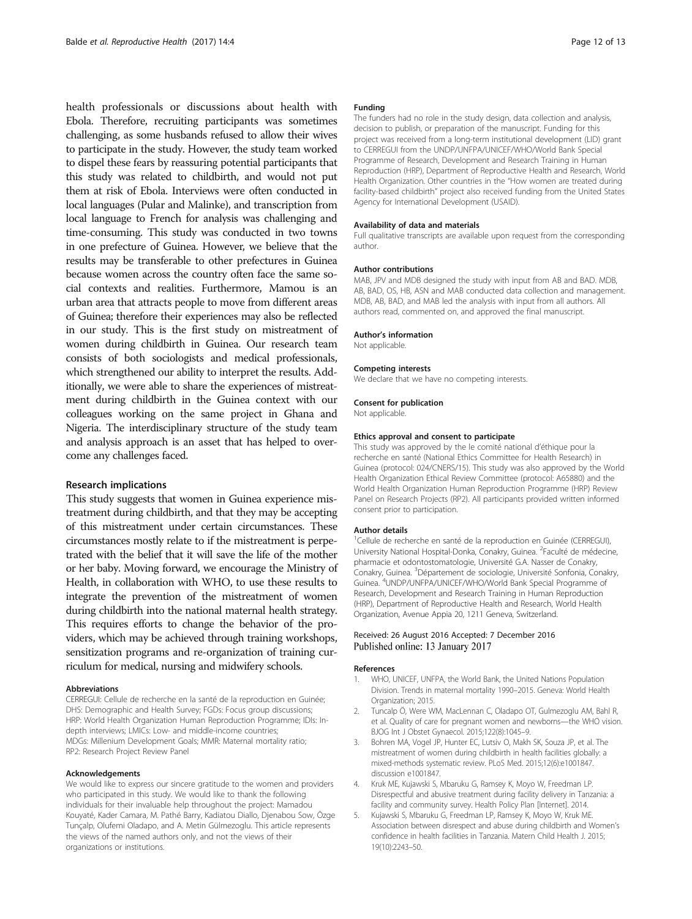<span id="page-11-0"></span>health professionals or discussions about health with Ebola. Therefore, recruiting participants was sometimes challenging, as some husbands refused to allow their wives to participate in the study. However, the study team worked to dispel these fears by reassuring potential participants that this study was related to childbirth, and would not put them at risk of Ebola. Interviews were often conducted in local languages (Pular and Malinke), and transcription from local language to French for analysis was challenging and time-consuming. This study was conducted in two towns in one prefecture of Guinea. However, we believe that the results may be transferable to other prefectures in Guinea because women across the country often face the same social contexts and realities. Furthermore, Mamou is an urban area that attracts people to move from different areas of Guinea; therefore their experiences may also be reflected in our study. This is the first study on mistreatment of women during childbirth in Guinea. Our research team consists of both sociologists and medical professionals, which strengthened our ability to interpret the results. Additionally, we were able to share the experiences of mistreatment during childbirth in the Guinea context with our colleagues working on the same project in Ghana and Nigeria. The interdisciplinary structure of the study team and analysis approach is an asset that has helped to overcome any challenges faced.

#### Research implications

This study suggests that women in Guinea experience mistreatment during childbirth, and that they may be accepting of this mistreatment under certain circumstances. These circumstances mostly relate to if the mistreatment is perpetrated with the belief that it will save the life of the mother or her baby. Moving forward, we encourage the Ministry of Health, in collaboration with WHO, to use these results to integrate the prevention of the mistreatment of women during childbirth into the national maternal health strategy. This requires efforts to change the behavior of the providers, which may be achieved through training workshops, sensitization programs and re-organization of training curriculum for medical, nursing and midwifery schools.

### Abbreviations

CERREGUI: Cellule de recherche en la santé de la reproduction en Guinée; DHS: Demographic and Health Survey; FGDs: Focus group discussions; HRP: World Health Organization Human Reproduction Programme; IDIs: Indepth interviews; LMICs: Low- and middle-income countries; MDGs: Millenium Development Goals; MMR: Maternal mortality ratio; RP2: Research Project Review Panel

#### Acknowledgements

We would like to express our sincere gratitude to the women and providers who participated in this study. We would like to thank the following individuals for their invaluable help throughout the project: Mamadou Kouyaté, Kader Camara, M. Pathé Barry, Kadiatou Diallo, Djenabou Sow, Özge Tunçalp, Olufemi Oladapo, and A. Metin Gülmezoglu. This article represents the views of the named authors only, and not the views of their organizations or institutions.

#### Funding

The funders had no role in the study design, data collection and analysis, decision to publish, or preparation of the manuscript. Funding for this project was received from a long-term institutional development (LID) grant to CERREGUI from the UNDP/UNFPA/UNICEF/WHO/World Bank Special Programme of Research, Development and Research Training in Human Reproduction (HRP), Department of Reproductive Health and Research, World Health Organization. Other countries in the "How women are treated during facility-based childbirth" project also received funding from the United States Agency for International Development (USAID).

#### Availability of data and materials

Full qualitative transcripts are available upon request from the corresponding author.

#### Author contributions

MAB, JPV and MDB designed the study with input from AB and BAD. MDB, AB, BAD, OS, HB, ASN and MAB conducted data collection and management. MDB, AB, BAD, and MAB led the analysis with input from all authors. All authors read, commented on, and approved the final manuscript.

#### Author's information

Not applicable

#### Competing interests

We declare that we have no competing interests.

#### Consent for publication

Not applicable.

#### Ethics approval and consent to participate

This study was approved by the le comité national d'éthique pour la recherche en santé (National Ethics Committee for Health Research) in Guinea (protocol: 024/CNERS/15). This study was also approved by the World Health Organization Ethical Review Committee (protocol: A65880) and the World Health Organization Human Reproduction Programme (HRP) Review Panel on Research Projects (RP2). All participants provided written informed consent prior to participation.

#### Author details

<sup>1</sup>Cellule de recherche en santé de la reproduction en Guinée (CERREGUI), University National Hospital-Donka, Conakry, Guinea. <sup>2</sup>Faculté de médecine, pharmacie et odontostomatologie, Université G.A. Nasser de Conakry, Conakry, Guinea. <sup>3</sup>Département de sociologie, Université Sonfonia, Conakry, Guinea. <sup>4</sup> UNDP/UNFPA/UNICEF/WHO/World Bank Special Programme of Research, Development and Research Training in Human Reproduction (HRP), Department of Reproductive Health and Research, World Health Organization, Avenue Appia 20, 1211 Geneva, Switzerland.

#### Received: 26 August 2016 Accepted: 7 December 2016 Published online: 13 January 2017

#### References

- WHO, UNICEF, UNFPA, the World Bank, the United Nations Population Division. Trends in maternal mortality 1990–2015. Geneva: World Health Organization; 2015.
- 2. Tuncalp Ö, Were WM, MacLennan C, Oladapo OT, Gulmezoglu AM, Bahl R, et al. Quality of care for pregnant women and newborns—the WHO vision. BJOG Int J Obstet Gynaecol. 2015;122(8):1045–9.
- 3. Bohren MA, Vogel JP, Hunter EC, Lutsiv O, Makh SK, Souza JP, et al. The mistreatment of women during childbirth in health facilities globally: a mixed-methods systematic review. PLoS Med. 2015;12(6):e1001847. discussion e1001847.
- 4. Kruk ME, Kujawski S, Mbaruku G, Ramsey K, Moyo W, Freedman LP. Disrespectful and abusive treatment during facility delivery in Tanzania: a facility and community survey. Health Policy Plan [Internet]. 2014.
- 5. Kujawski S, Mbaruku G, Freedman LP, Ramsey K, Moyo W, Kruk ME. Association between disrespect and abuse during childbirth and Women's confidence in health facilities in Tanzania. Matern Child Health J. 2015; 19(10):2243–50.